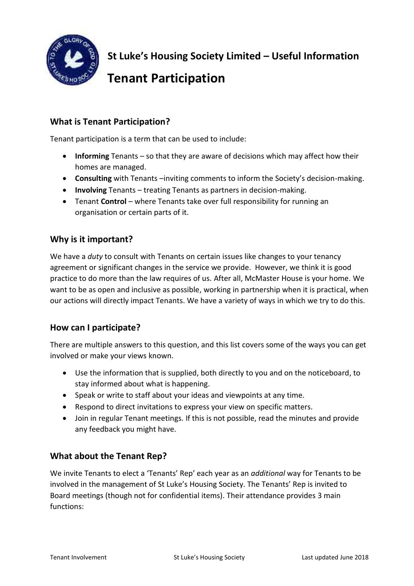

**St Luke's Housing Society Limited – Useful Information** 

# **Tenant Participation**

# **What is Tenant Participation?**

Tenant participation is a term that can be used to include:

- **Informing** Tenants so that they are aware of decisions which may affect how their homes are managed.
- **Consulting** with Tenants –inviting comments to inform the Society's decision-making.
- **Involving** Tenants treating Tenants as partners in decision-making.
- Tenant **Control** where Tenants take over full responsibility for running an organisation or certain parts of it.

#### **Why is it important?**

We have a *duty* to consult with Tenants on certain issues like changes to your tenancy agreement or significant changes in the service we provide. However, we think it is good practice to do more than the law requires of us. After all, McMaster House is your home. We want to be as open and inclusive as possible, working in partnership when it is practical, when our actions will directly impact Tenants. We have a variety of ways in which we try to do this.

#### **How can I participate?**

There are multiple answers to this question, and this list covers some of the ways you can get involved or make your views known.

- Use the information that is supplied, both directly to you and on the noticeboard, to stay informed about what is happening.
- Speak or write to staff about your ideas and viewpoints at any time.
- Respond to direct invitations to express your view on specific matters.
- Join in regular Tenant meetings. If this is not possible, read the minutes and provide any feedback you might have.

#### **What about the Tenant Rep?**

We invite Tenants to elect a 'Tenants' Rep' each year as an *additional* way for Tenants to be involved in the management of St Luke's Housing Society. The Tenants' Rep is invited to Board meetings (though not for confidential items). Their attendance provides 3 main functions: